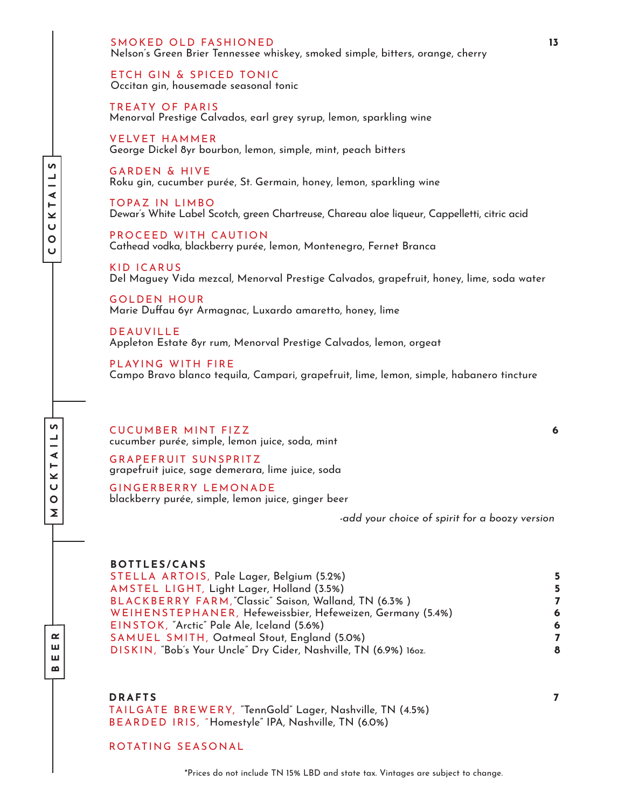SMOKED OLD FASHIONED **13** Nelson's Green Brier Tennessee whiskey, smoked simple, bitters, orange, cherry

ETCH GIN & SPICED TONIC Occitan gin, housemade seasonal tonic

TREATY OF PARIS Menorval Prestige Calvados, earl grey syrup, lemon, sparkling wine

VELVET HAMMER<br>George Dickel 8yr bourbon, lemon, simple, mint, peach bitters

GARDEN & HIVE<br>Roku gin, cucumber purée, St. Germain, honey, lemon, sparkling wine

TOPAZ IN LIMBO<br>Dewar's White Label Scotch, green Chartreuse, Chareau aloe liqueur, Cappelletti, citric acid

PROCEED WITH CAUTION<br>Cathead vodka, blackberry purée, lemon, Montenegro, Fernet Branca

KID ICARUS<br>Del Maguey Vida mezcal, Menorval Prestige Calvados, grapefruit, honey, lime, soda water

GOLDEN HOUR Marie Duffau 6yr Armagnac, Luxardo amaretto, honey, lime

DEAUVILLE<br>Appleton Estate 8yr rum, Menorval Prestige Calvados, lemon, orgeat

PLAYING WITH FIRE<br>Campo Bravo blanco tequila, Campari, grapefruit, lime, lemon, simple, habanero tincture

CUCUMBER MINT FIZZ **6**  cucumber purée, simple, lemon juice, soda, mint

GRAPEFRUIT SUNSPRITZ grapefruit juice, sage demerara, lime juice, soda

GINGERBERRY LEMONADE<br>blackberry purée, simple, lemon juice, ginger beer

*-add your choice of spirit for a boozy version*

#### **BOTTLES/CANS**

STELLA ARTOIS, Pale Lager, Belgium (5.2%) **5** AMSTEL LIGHT, Light Lager, Holland (3.5%) **5** BLACKBERRY FARM,"Classic" Saison, Walland, TN (6.3% ) **7** WEIHENSTEPHANER, Hefeweissbier, Hefeweizen, Germany (5.4%) **6** EINSTOK, "Arctic" Pale Ale, Iceland (5.6%) **6** SAMUEL SMITH, Oatmeal Stout, England (5.0%) **7** DISKIN, "Bob's Your Uncle" Dry Cider, Nashville, TN (6.9%) 16oz. **8**

**DRAFTS <sup>7</sup>**

**BEER**

**MOCKTAILS**

**u** ┙ ∢  $\overline{\mathsf{K}}$  $\cup$  $\circ$ Σ

> TAILGATE BREWERY, "TennGold" Lager, Nashville, TN (4.5%) BEARDED IRIS, "Homestyle" IPA, Nashville, TN (6.0%)

### ROTATING SEASONAL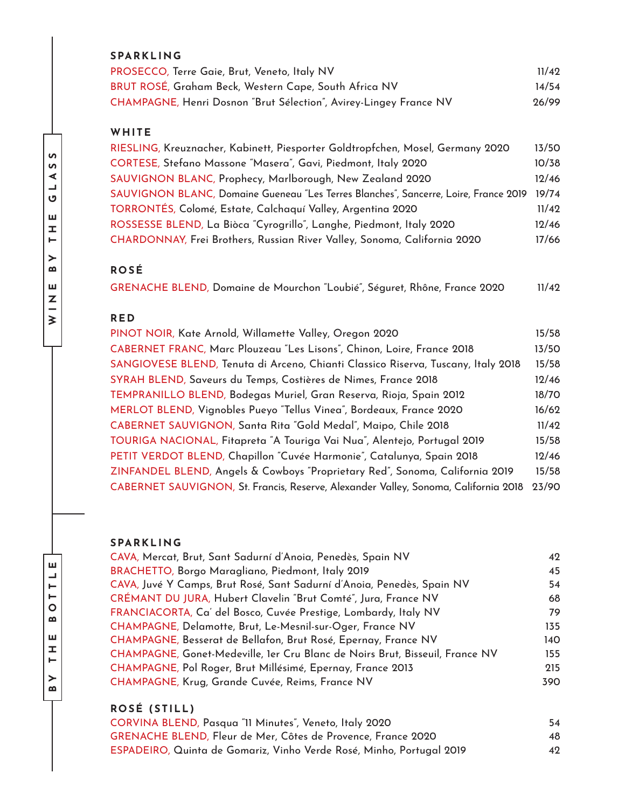| <b>SPARKLING</b>                                                  |       |
|-------------------------------------------------------------------|-------|
| PROSECCO, Terre Gaie, Brut, Veneto, Italy NV                      | 11/49 |
| BRUT ROSÉ, Graham Beck, Western Cape, South Africa NV             | 14/54 |
| CHAMPAGNE, Henri Dosnon "Brut Sélection", Avirey-Lingey France NV | 26/99 |

## **WHITE**

| RIESLING, Kreuznacher, Kabinett, Piesporter Goldtropfchen, Mosel, Germany 2020       | 13/50 |
|--------------------------------------------------------------------------------------|-------|
| CORTESE, Stefano Massone "Masera", Gavi, Piedmont, Italy 2020                        | 10/38 |
| SAUVIGNON BLANC, Prophecy, Marlborough, New Zealand 2020                             | 12/46 |
| SAUVIGNON BLANC, Domaine Gueneau "Les Terres Blanches", Sancerre, Loire, France 2019 | 19/74 |
| TORRONTÉS, Colomé, Estate, Calchaquí Valley, Argentina 2020                          | 11/42 |
| ROSSESSE BLEND, La Biòca "Cyrogrillo", Langhe, Piedmont, Italy 2020                  | 12/46 |
| CHARDONNAY, Frei Brothers, Russian River Valley, Sonoma, California 2020             | 17/66 |

## **ROSÉ**

GRENACHE BLEND, Domaine de Mourchon "Loubié", Séguret, Rhône, France 2020 11/42

## **RED**

| PINOT NOIR, Kate Arnold, Willamette Valley, Oregon 2020                             | 15/58 |
|-------------------------------------------------------------------------------------|-------|
| CABERNET FRANC, Marc Plouzeau "Les Lisons", Chinon, Loire, France 2018              | 13/50 |
| SANGIOVESE BLEND, Tenuta di Arceno, Chianti Classico Riserva, Tuscany, Italy 2018   | 15/58 |
| SYRAH BLEND, Saveurs du Temps, Costières de Nimes, France 2018                      | 12/46 |
| TEMPRANILLO BLEND, Bodegas Muriel, Gran Reserva, Rioja, Spain 2012                  | 18/70 |
| MERLOT BLEND, Vignobles Pueyo "Tellus Vinea", Bordeaux, France 2020                 | 16/62 |
| CABERNET SAUVIGNON, Santa Rita "Gold Medal", Maipo, Chile 2018                      | 11/42 |
| TOURIGA NACIONAL, Fitapreta "A Touriga Vai Nua", Alentejo, Portugal 2019            | 15/58 |
| PETIT VERDOT BLEND, Chapillon "Cuvée Harmonie", Catalunya, Spain 2018               | 12/46 |
| ZINFANDEL BLEND, Angels & Cowboys "Proprietary Red", Sonoma, California 2019        | 15/58 |
| CABERNET SAUVIGNON, St. Francis, Reserve, Alexander Valley, Sonoma, California 2018 | 23/90 |

## **SPARKLING**

| CAVA, Mercat, Brut, Sant Sadurní d'Anoia, Penedès, Spain NV                  | 42  |
|------------------------------------------------------------------------------|-----|
| BRACHETTO, Borgo Maragliano, Piedmont, Italy 2019                            | 45  |
| CAVA, Juvé Y Camps, Brut Rosé, Sant Sadurní d'Anoia, Penedès, Spain NV       | 54  |
| CRÉMANT DU JURA, Hubert Clavelin "Brut Comté", Jura, France NV               | 68  |
| FRANCIACORTA, Ca' del Bosco, Cuvée Prestige, Lombardy, Italy NV              | 79  |
| CHAMPAGNE, Delamotte, Brut, Le-Mesnil-sur-Oger, France NV                    | 135 |
| CHAMPAGNE, Besserat de Bellafon, Brut Rosé, Epernay, France NV               | 140 |
| CHAMPAGNE, Gonet-Medeville, 1er Cru Blanc de Noirs Brut, Bisseuil, France NV | 155 |
| CHAMPAGNE, Pol Roger, Brut Millésimé, Epernay, France 2013                   | 215 |
| CHAMPAGNE, Krug, Grande Cuvée, Reims, France NV                              | 390 |
|                                                                              |     |

# **ROSÉ (STILL)**

CORVINA BLEND, Pasqua "11 Minutes", Veneto, Italy 2020 54 GRENACHE BLEND, Fleur de Mer, Côtes de Provence, France 2020 48 ESPADEIRO, Quinta de Gomariz, Vinho Verde Rosé, Minho, Portugal 2019 42

**BY THE BOTTLE**

 $\overline{O}$  $\boldsymbol{\omega}$ ш **I**  $\vdash$  $\geq$ .<br>മ

Щ

TTEL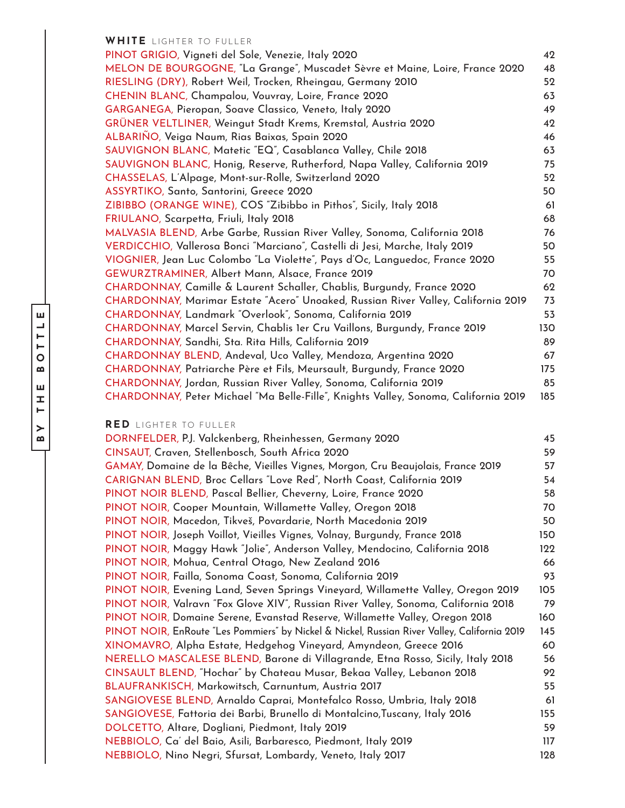#### **WHITE** LIGHTER TO FULLER

PINOT GRIGIO, Vigneti del Sole, Venezie, Italy 2020 42 MELON DE BOURGOGNE, "La Grange", Muscadet Sèvre et Maine, Loire, France 2020 48 RIESLING (DRY), Robert Weil, Trocken, Rheingau, Germany 2010 52 CHENIN BLANC, Champalou, Vouvray, Loire, France 2020 63 GARGANEGA, Pieropan, Soave Classico, Veneto, Italy 2020 49 GRÜNER VELTLINER, Weingut Stadt Krems, Kremstal, Austria 2020 42 ALBARIÑO, Veiga Naum, Rias Baixas, Spain 2020 46 SAUVIGNON BLANC, Matetic "EQ", Casablanca Valley, Chile 2018 63 SAUVIGNON BLANC, Honig, Reserve, Rutherford, Napa Valley, California 2019 75 CHASSELAS, L'Alpage, Mont-sur-Rolle, Switzerland 2020 52 ASSYRTIKO, Santo, Santorini, Greece 2020 50 ZIBIBBO (ORANGE WINE), COS "Zibibbo in Pithos", Sicily, Italy 2018 61 FRIULANO, Scarpetta, Friuli, Italy 2018 68 MALVASIA BLEND, Arbe Garbe, Russian River Valley, Sonoma, California 2018 76 VERDICCHIO, Vallerosa Bonci "Marciano", Castelli di Jesi, Marche, Italy 2019 50 VIOGNIER, Jean Luc Colombo "La Violette", Pays d'Oc, Languedoc, France 2020 55 GEWURZTRAMINER, Albert Mann, Alsace, France 2019 70 CHARDONNAY, Camille & Laurent Schaller, Chablis, Burgundy, France 2020 62 CHARDONNAY, Marimar Estate "Acero" Unoaked, Russian River Valley, California 2019 73 CHARDONNAY, Landmark "Overlook", Sonoma, California 2019 53 CHARDONNAY, Marcel Servin, Chablis 1er Cru Vaillons, Burgundy, France 2019 130 CHARDONNAY, Sandhi, Sta. Rita Hills, California 2019 89 CHARDONNAY BLEND, Andeval, Uco Valley, Mendoza, Argentina 2020 67 CHARDONNAY, Patriarche Père et Fils, Meursault, Burgundy, France 2020 175 CHARDONNAY, Jordan, Russian River Valley, Sonoma, California 2019 85 CHARDONNAY, Peter Michael "Ma Belle-Fille", Knights Valley, Sonoma, California 2019 185

#### **RED** LIGHTER TO FULLER

| DORNFELDER, P.J. Valckenberg, Rheinhessen, Germany 2020                                      | 45  |
|----------------------------------------------------------------------------------------------|-----|
| CINSAUT, Craven, Stellenbosch, South Africa 2020                                             | 59  |
| GAMAY, Domaine de la Bêche, Vieilles Vignes, Morgon, Cru Beaujolais, France 2019             | 57  |
| CARIGNAN BLEND, Broc Cellars "Love Red", North Coast, California 2019                        | 54  |
| PINOT NOIR BLEND, Pascal Bellier, Cheverny, Loire, France 2020                               | 58  |
| PINOT NOIR, Cooper Mountain, Willamette Valley, Oregon 2018                                  | 70  |
| PINOT NOIR, Macedon, Tikveš, Povardarie, North Macedonia 2019                                | 50  |
| PINOT NOIR, Joseph Voillot, Vieilles Vignes, Volnay, Burgundy, France 2018                   | 150 |
| PINOT NOIR, Maggy Hawk "Jolie", Anderson Valley, Mendocino, California 2018                  | 122 |
| PINOT NOIR, Mohua, Central Otago, New Zealand 2016                                           | 66  |
| PINOT NOIR, Failla, Sonoma Coast, Sonoma, California 2019                                    | 93  |
| PINOT NOIR, Evening Land, Seven Springs Vineyard, Willamette Valley, Oregon 2019             | 105 |
| PINOT NOIR, Valravn "Fox Glove XIV", Russian River Valley, Sonoma, California 2018           | 79  |
| PINOT NOIR, Domaine Serene, Evanstad Reserve, Willamette Valley, Oregon 2018                 | 160 |
| PINOT NOIR, EnRoute "Les Pommiers" by Nickel & Nickel, Russian River Valley, California 2019 | 145 |
| XINOMAVRO, Alpha Estate, Hedgehog Vineyard, Amyndeon, Greece 2016                            | 60  |
| NERELLO MASCALESE BLEND, Barone di Villagrande, Etna Rosso, Sicily, Italy 2018               | 56  |
| CINSAULT BLEND, "Hochar" by Chateau Musar, Bekaa Valley, Lebanon 2018                        | 92  |
| BLAUFRANKISCH, Markowitsch, Carnuntum, Austria 2017                                          | 55  |
| SANGIOVESE BLEND, Arnaldo Caprai, Montefalco Rosso, Umbria, Italy 2018                       | 61  |
| SANGIOVESE, Fattoria dei Barbi, Brunello di Montalcino, Tuscany, Italy 2016                  | 155 |
| DOLCETTO, Altare, Dogliani, Piedmont, Italy 2019                                             | 59  |
| NEBBIOLO, Ca' del Baio, Asili, Barbaresco, Piedmont, Italy 2019                              | 117 |
| NEBBIOLO, Nino Negri, Sfursat, Lombardy, Veneto, Italy 2017                                  | 128 |
|                                                                                              |     |